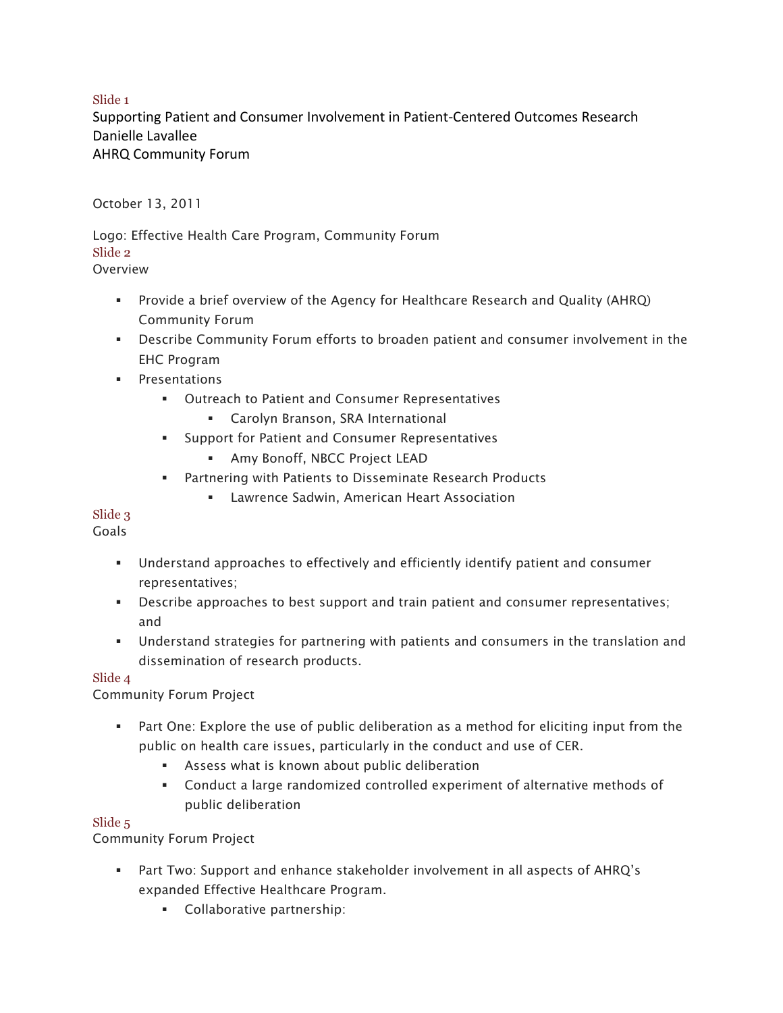### Slide 1

Supporting Patient and Consumer Involvement in Patient-Centered Outcomes Research Danielle Lavallee AHRQ Community Forum

October 13, 2011

Logo: Effective Health Care Program, Community Forum Slide 2 Overview

- § Provide a brief overview of the Agency for Healthcare Research and Quality (AHRQ) Community Forum
- Describe Community Forum efforts to broaden patient and consumer involvement in the EHC Program
- § Presentations
	- Outreach to Patient and Consumer Representatives
		- Carolyn Branson, SRA International
	- Support for Patient and Consumer Representatives
		- § Amy Bonoff, NBCC Project LEAD
	- Partnering with Patients to Disseminate Research Products
		- Lawrence Sadwin, American Heart Association

# Slide 3

Goals

- § Understand approaches to effectively and efficiently identify patient and consumer representatives;
- Describe approaches to best support and train patient and consumer representatives; and
- § Understand strategies for partnering with patients and consumers in the translation and dissemination of research products.

# Slide 4

Community Forum Project

- Part One: Explore the use of public deliberation as a method for eliciting input from the public on health care issues, particularly in the conduct and use of CER.
	- Assess what is known about public deliberation
	- § Conduct a large randomized controlled experiment of alternative methods of public deliberation

#### Slide 5

Community Forum Project

- § Part Two: Support and enhance stakeholder involvement in all aspects of AHRQ's expanded Effective Healthcare Program.
	- **•** Collaborative partnership: